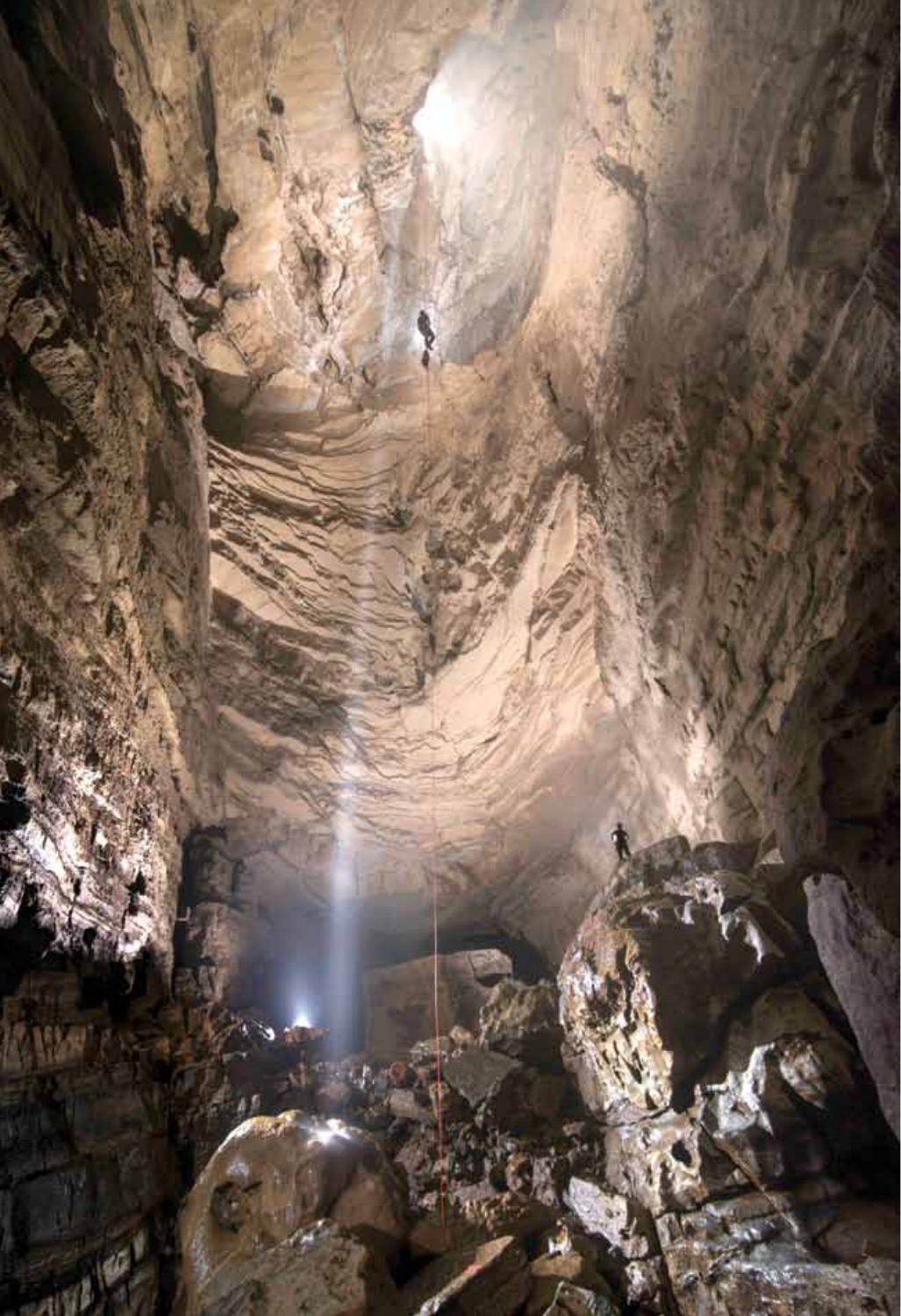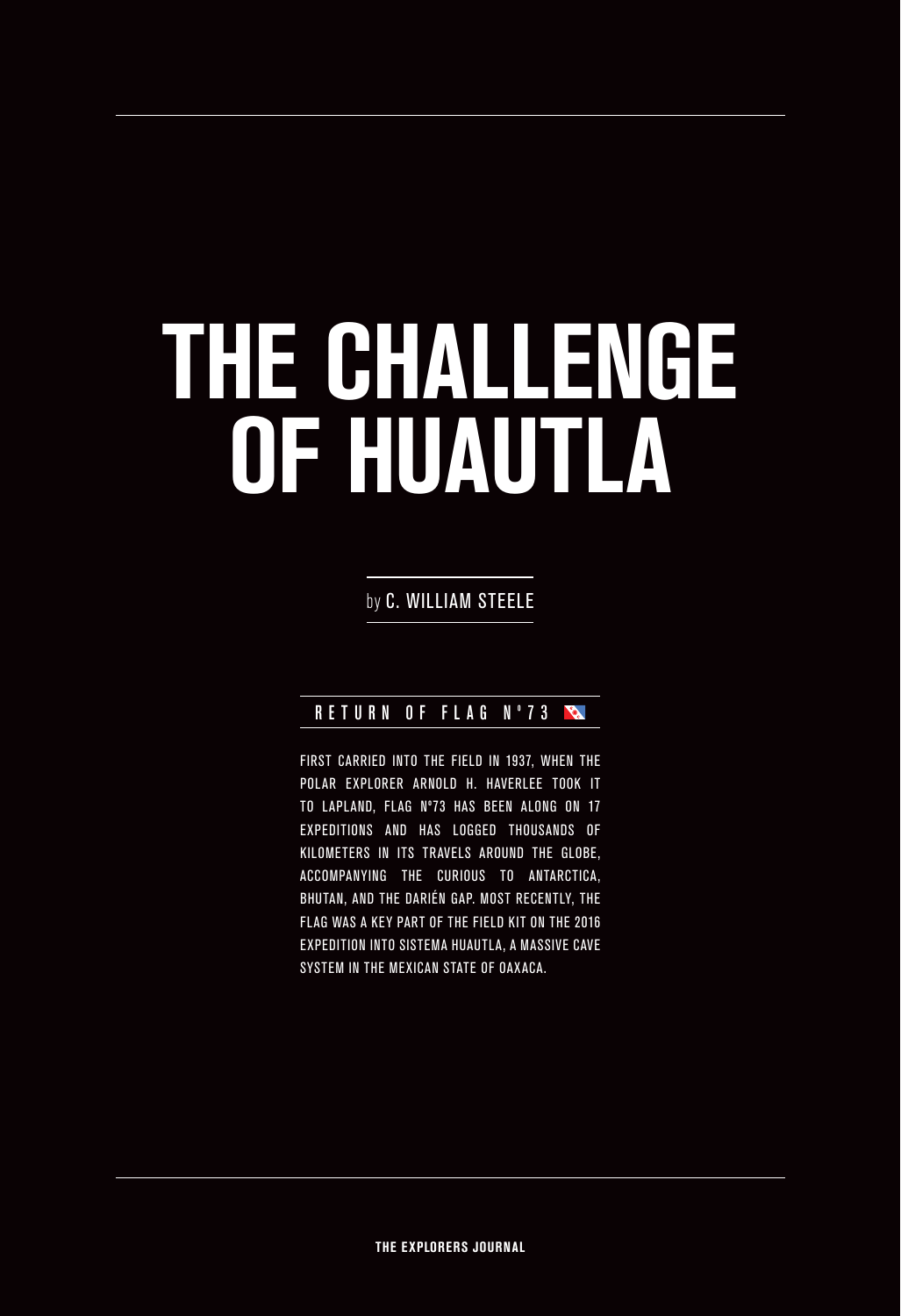# **the Challenge of Huautla**

#### by C. William Steele

## RETURN OF FLAG Nº 73

First carried into the field in 1937, when the polar explorer Arnold H. Haverlee took it to Lapland, Flag Nº73 has been along on 17 expeditions and has logged thousands of kilometers in its travels around the globe, accompanying the curious to Antarctica, Bhutan, and the Darién Gap. Most recently, the flag was a key part of the field kit on the 2016 expedition into Sistema Huautla, a massive cave SYSTEM IN THE MEXICAN STATE OF OAXACA.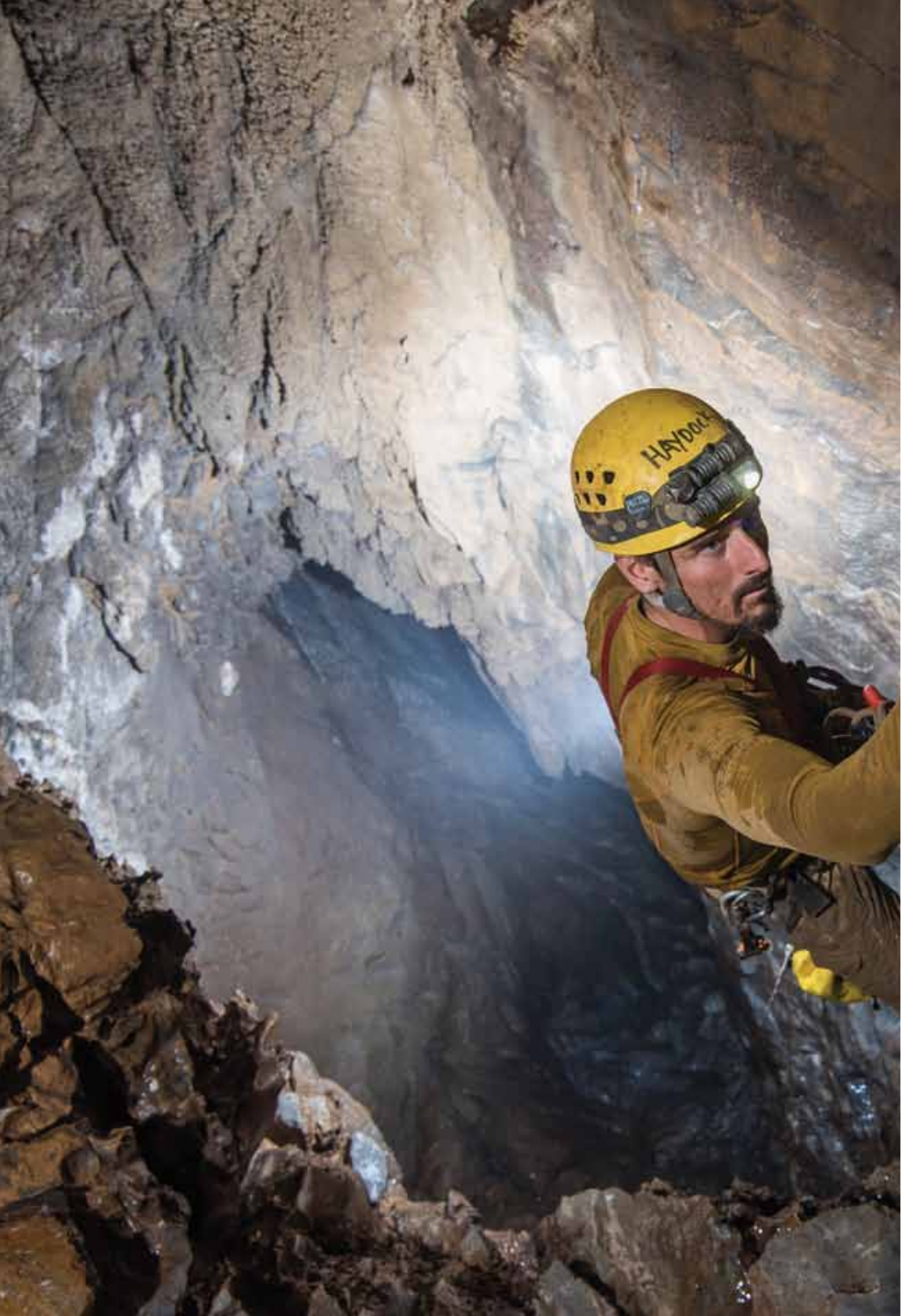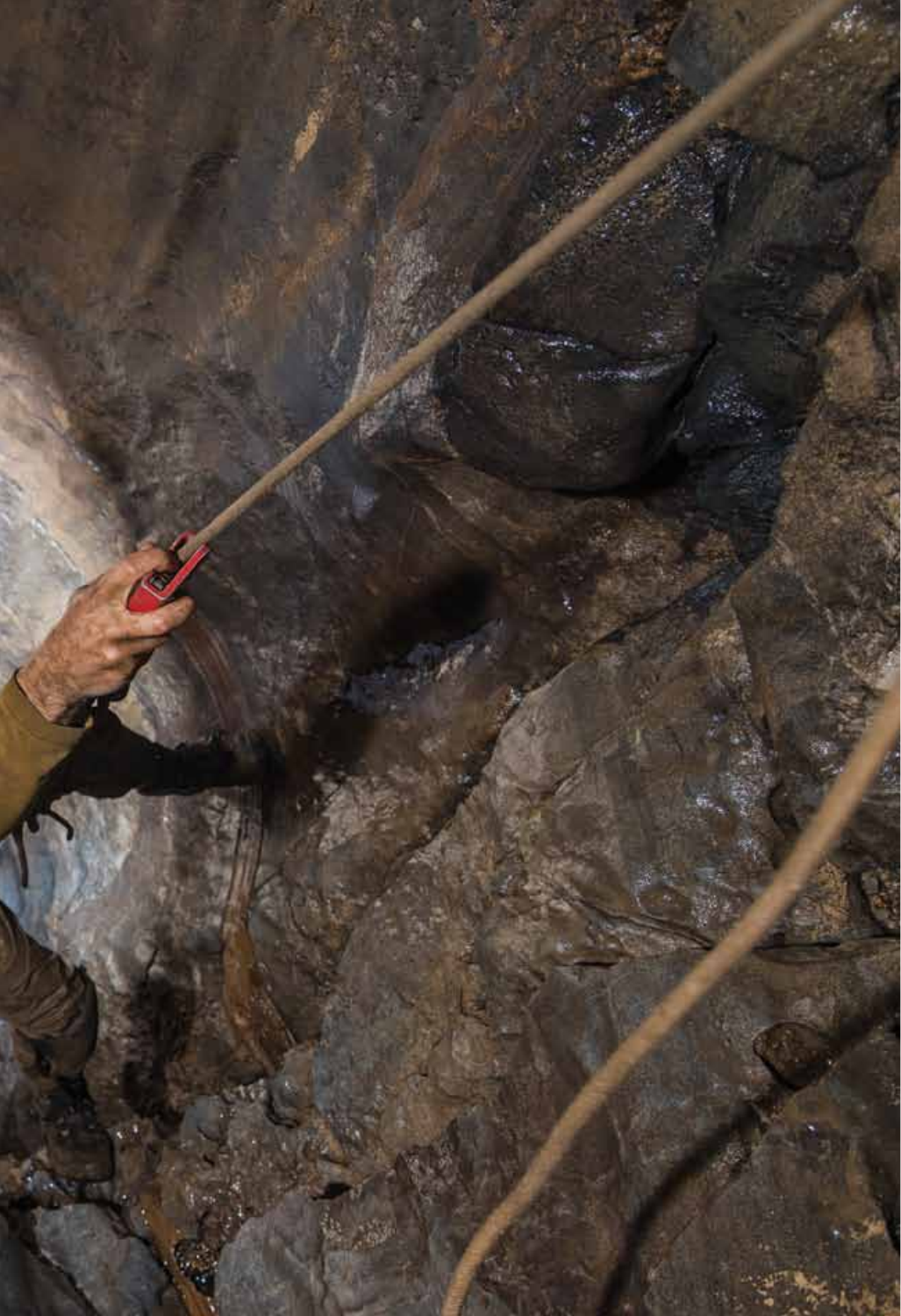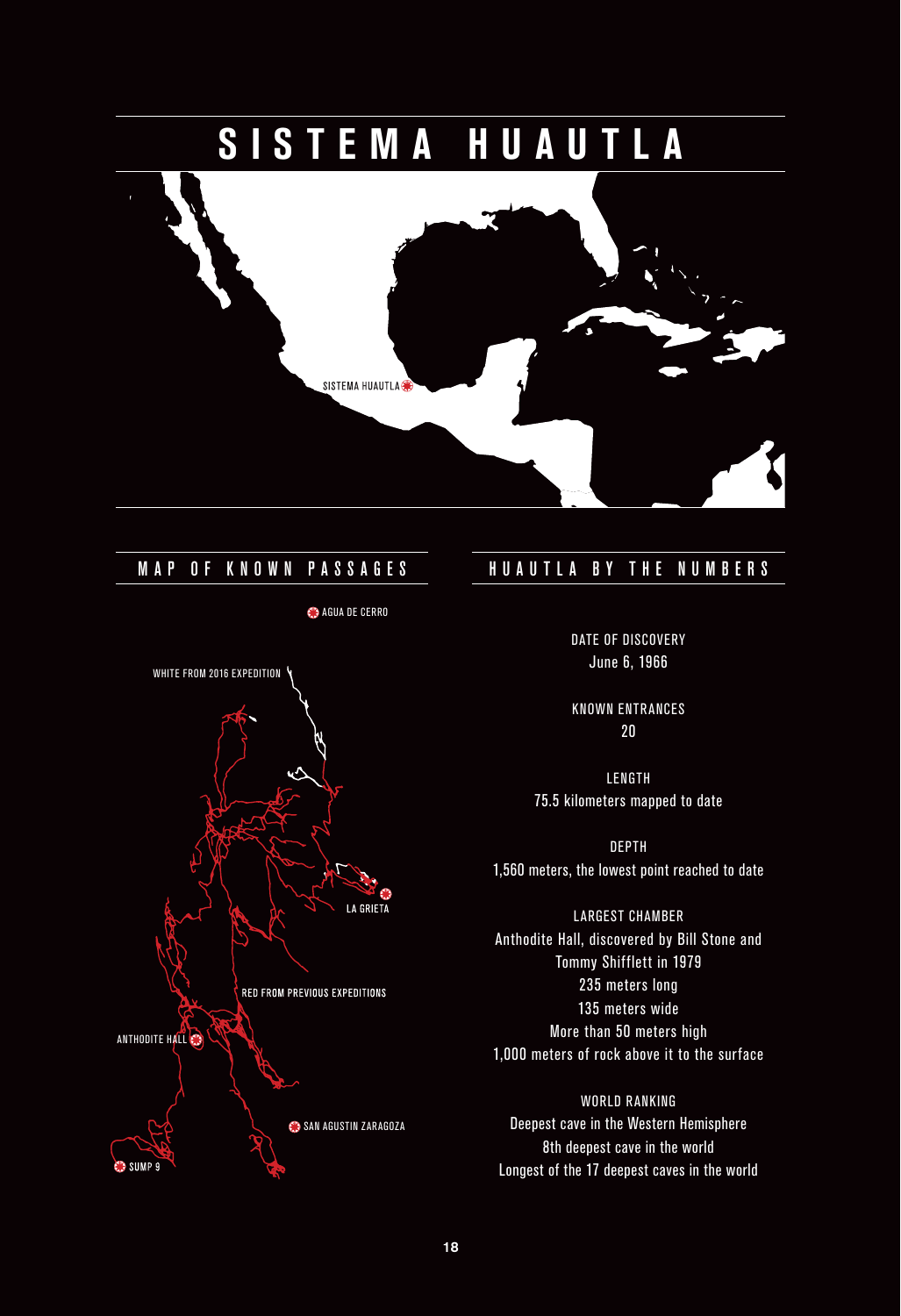

#### MAP OF KNOWN PASSAGES

**C** AGUA DE CERRO



## HUAUTLA BY THE NUMBERS

DATE OF DISCOVERY June 6, 1966

Known entrances 20

Length 75.5 kilometers mapped to date

Depth 1,560 meters, the lowest point reached to date

Largest Chamber Anthodite Hall, discovered by Bill Stone and Tommy Shifflett in 1979 235 meters long 135 meters wide More than 50 meters high 1,000 meters of rock above it to the surface

WORLD RANKING Deepest cave in the Western Hemisphere 8th deepest cave in the world Longest of the 17 deepest caves in the world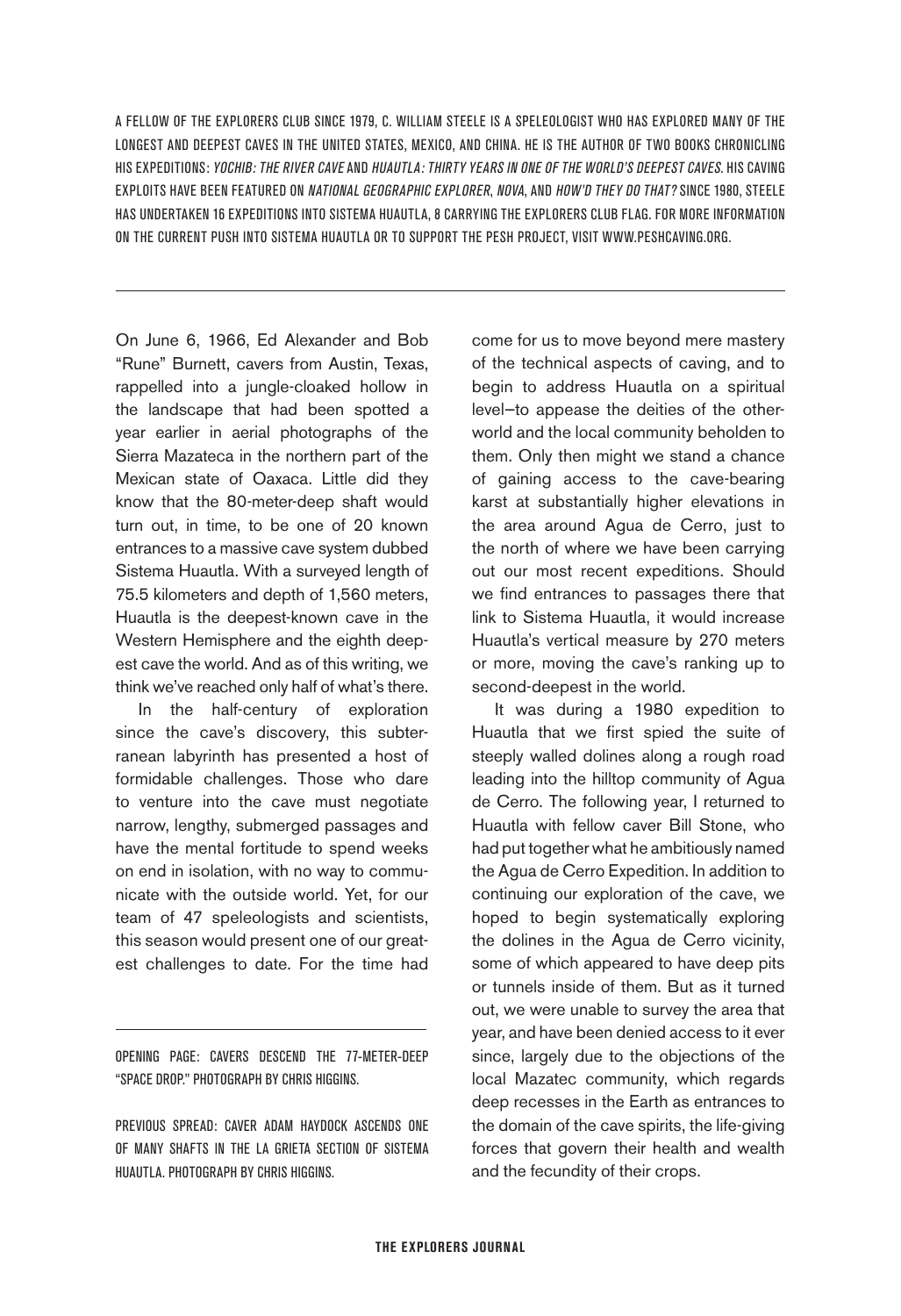A fellow of The Explorers Club since 1979, C. William Steele is a speleologist who has explored many of the longest and deepest caves in the United States, Mexico, and China. He is the author of two books chronicling his expeditions: Yochib: The River Cave and Huautla: Thirty Years in One of the World's Deepest Caves. His caving EXPLOITS HAVE BEEN FEATURED ON NATIONAL GEOGRAPHIC EXPLORER, NOVA, AND HOW'D THEY DO THAT? SINCE 1980, STEELE has undertaken 16 expeditions into Sistema Huautla, 8 carrying The Explorers Club Flag. For more information on the current push into Sistema Huautla or to support the PESH project, visit www.peshcaving.org.

On June 6, 1966, Ed Alexander and Bob "Rune" Burnett, cavers from Austin, Texas, rappelled into a jungle-cloaked hollow in the landscape that had been spotted a year earlier in aerial photographs of the Sierra Mazateca in the northern part of the Mexican state of Oaxaca. Little did they know that the 80-meter-deep shaft would turn out, in time, to be one of 20 known entrances to a massive cave system dubbed Sistema Huautla. With a surveyed length of 75.5 kilometers and depth of 1,560 meters, Huautla is the deepest-known cave in the Western Hemisphere and the eighth deepest cave the world. And as of this writing, we think we've reached only half of what's there.

In the half-century of exploration since the cave's discovery, this subterranean labyrinth has presented a host of formidable challenges. Those who dare to venture into the cave must negotiate narrow, lengthy, submerged passages and have the mental fortitude to spend weeks on end in isolation, with no way to communicate with the outside world. Yet, for our team of 47 speleologists and scientists, this season would present one of our greatest challenges to date. For the time had

opening page: Cavers descend the 77-meter-deep "Space Drop." Photograph by Chris Higgins.

previous spread: Caver Adam Haydock ascends one of many shafts in the La Grieta section of Sistema Huautla. Photograph by Chris Higgins.

come for us to move beyond mere mastery of the technical aspects of caving, and to begin to address Huautla on a spiritual level—to appease the deities of the otherworld and the local community beholden to them. Only then might we stand a chance of gaining access to the cave-bearing karst at substantially higher elevations in the area around Agua de Cerro, just to the north of where we have been carrying out our most recent expeditions. Should we find entrances to passages there that link to Sistema Huautla, it would increase Huautla's vertical measure by 270 meters or more, moving the cave's ranking up to second-deepest in the world.

It was during a 1980 expedition to Huautla that we first spied the suite of steeply walled dolines along a rough road leading into the hilltop community of Agua de Cerro. The following year, I returned to Huautla with fellow caver Bill Stone, who had put together what he ambitiously named the Agua de Cerro Expedition. In addition to continuing our exploration of the cave, we hoped to begin systematically exploring the dolines in the Agua de Cerro vicinity, some of which appeared to have deep pits or tunnels inside of them. But as it turned out, we were unable to survey the area that year, and have been denied access to it ever since, largely due to the objections of the local Mazatec community, which regards deep recesses in the Earth as entrances to the domain of the cave spirits, the life-giving forces that govern their health and wealth and the fecundity of their crops.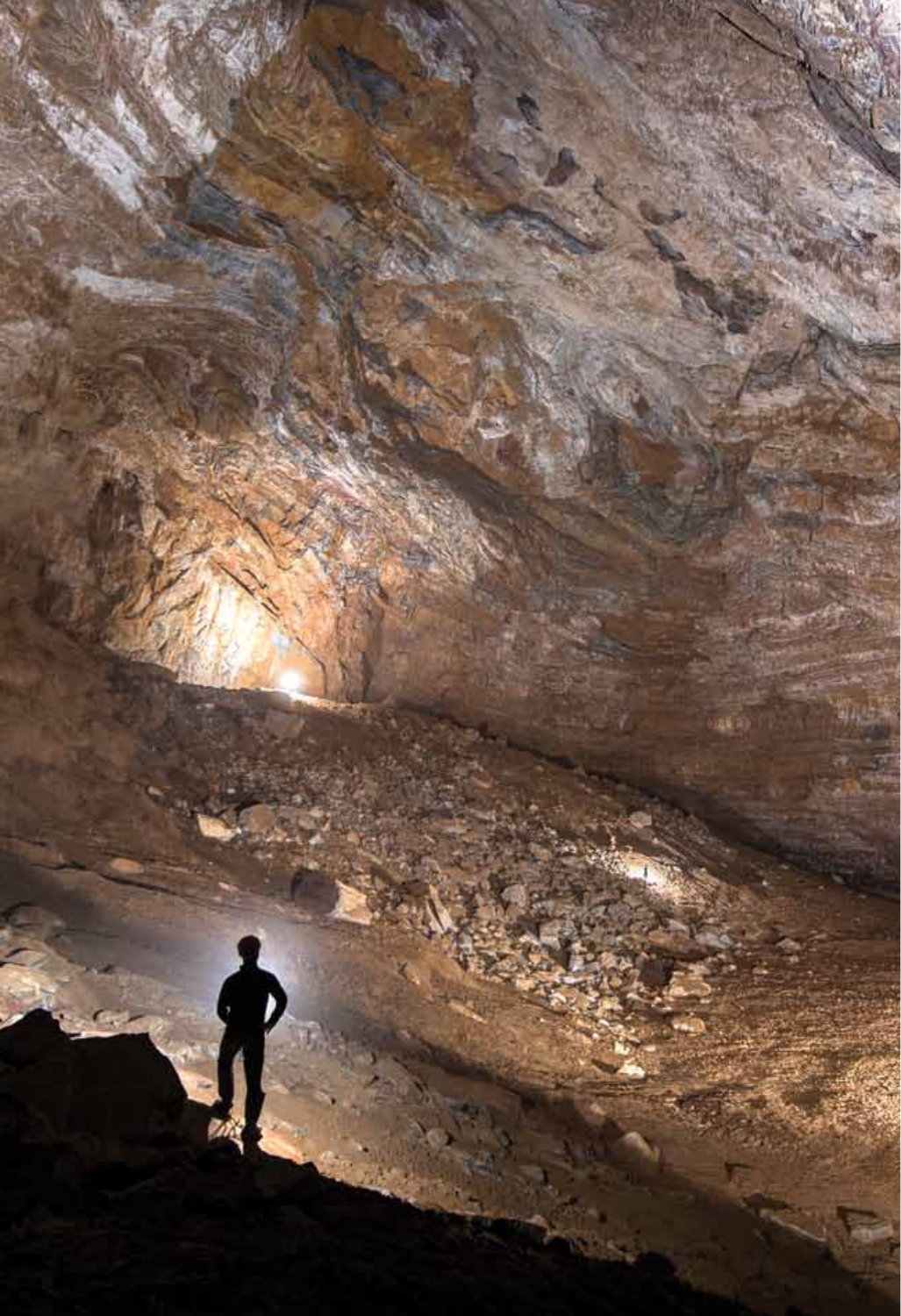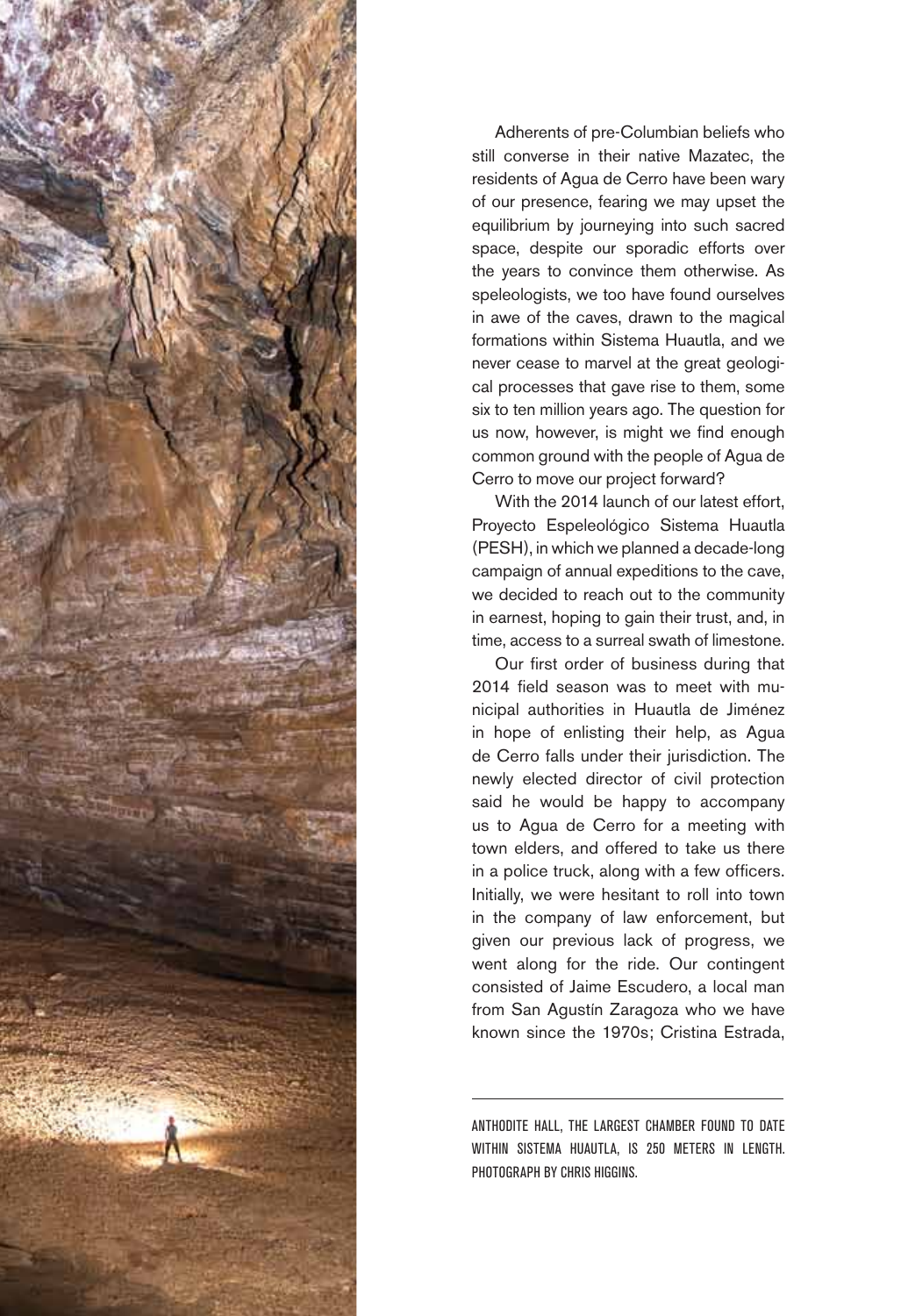

Adherents of pre-Columbian beliefs who still converse in their native Mazatec, the residents of Agua de Cerro have been wary of our presence, fearing we may upset the equilibrium by journeying into such sacred space, despite our sporadic efforts over the years to convince them otherwise. As speleologists, we too have found ourselves in awe of the caves, drawn to the magical formations within Sistema Huautla, and we never cease to marvel at the great geological processes that gave rise to them, some six to ten million years ago. The question for us now, however, is might we find enough common ground with the people of Agua de Cerro to move our project forward?

With the 2014 launch of our latest effort, Proyecto Espeleológico Sistema Huautla (PESH), in which we planned a decade-long campaign of annual expeditions to the cave, we decided to reach out to the community in earnest, hoping to gain their trust, and, in time, access to a surreal swath of limestone.

Our first order of business during that 2014 field season was to meet with municipal authorities in Huautla de Jiménez in hope of enlisting their help, as Agua de Cerro falls under their jurisdiction. The newly elected director of civil protection said he would be happy to accompany us to Agua de Cerro for a meeting with town elders, and offered to take us there in a police truck, along with a few officers. Initially, we were hesitant to roll into town in the company of law enforcement, but given our previous lack of progress, we went along for the ride. Our contingent consisted of Jaime Escudero, a local man from San Agustín Zaragoza who we have known since the 1970s; Cristina Estrada,

Anthodite hall, the largest chamber found to date WITHIN SISTEMA HUAUTLA, IS 250 METERS IN LENGTH. Photograph by Chris Higgins.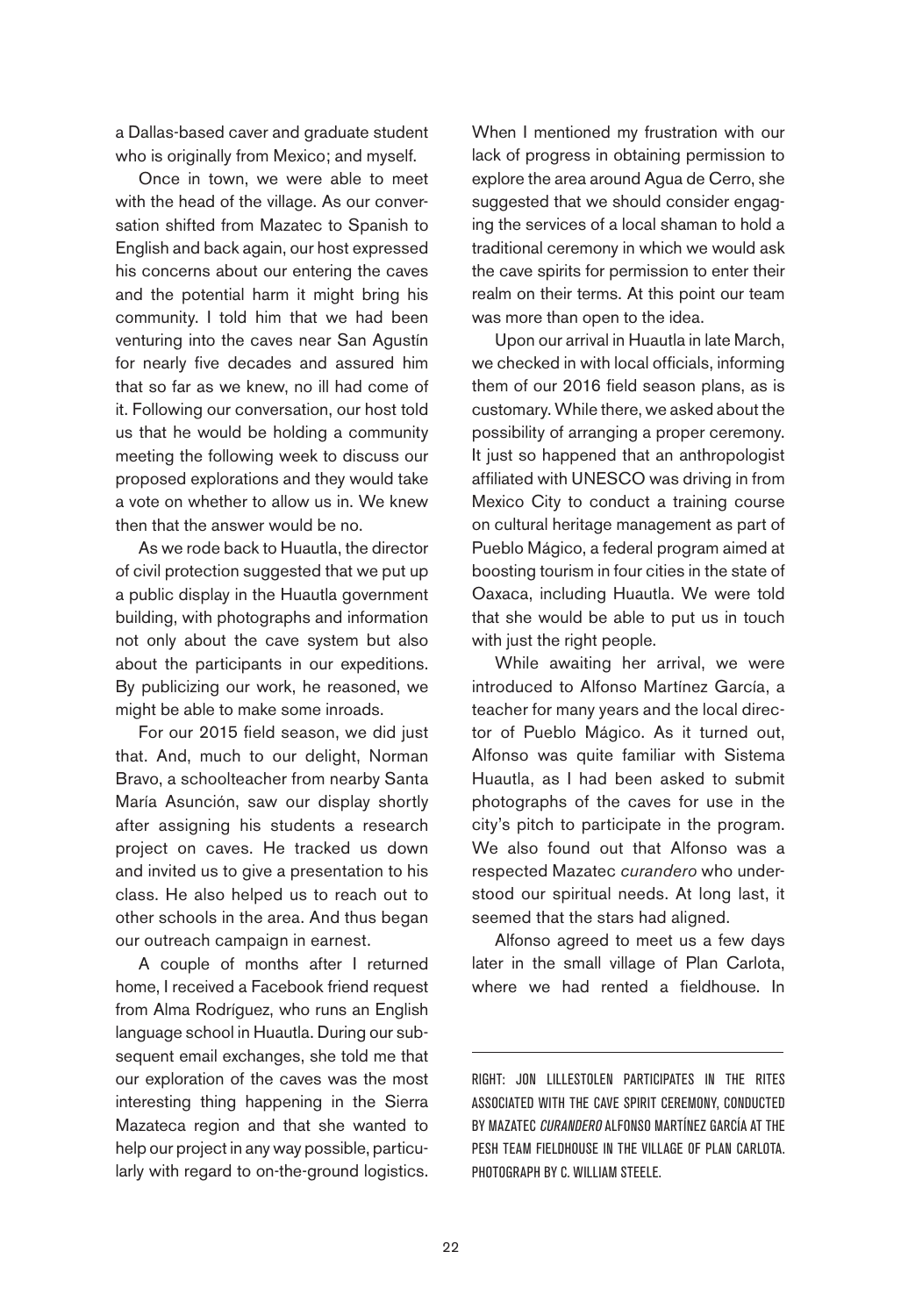a Dallas-based caver and graduate student who is originally from Mexico; and myself.

Once in town, we were able to meet with the head of the village. As our conversation shifted from Mazatec to Spanish to English and back again, our host expressed his concerns about our entering the caves and the potential harm it might bring his community. I told him that we had been venturing into the caves near San Agustín for nearly five decades and assured him that so far as we knew, no ill had come of it. Following our conversation, our host told us that he would be holding a community meeting the following week to discuss our proposed explorations and they would take a vote on whether to allow us in. We knew then that the answer would be no.

As we rode back to Huautla, the director of civil protection suggested that we put up a public display in the Huautla government building, with photographs and information not only about the cave system but also about the participants in our expeditions. By publicizing our work, he reasoned, we might be able to make some inroads.

For our 2015 field season, we did just that. And, much to our delight, Norman Bravo, a schoolteacher from nearby Santa María Asunción, saw our display shortly after assigning his students a research project on caves. He tracked us down and invited us to give a presentation to his class. He also helped us to reach out to other schools in the area. And thus began our outreach campaign in earnest.

A couple of months after I returned home, I received a Facebook friend request from Alma Rodríguez, who runs an English language school in Huautla. During our subsequent email exchanges, she told me that our exploration of the caves was the most interesting thing happening in the Sierra Mazateca region and that she wanted to help our project in any way possible, particularly with regard to on-the-ground logistics.

When I mentioned my frustration with our lack of progress in obtaining permission to explore the area around Agua de Cerro, she suggested that we should consider engaging the services of a local shaman to hold a traditional ceremony in which we would ask the cave spirits for permission to enter their realm on their terms. At this point our team was more than open to the idea.

Upon our arrival in Huautla in late March, we checked in with local officials, informing them of our 2016 field season plans, as is customary. While there, we asked about the possibility of arranging a proper ceremony. It just so happened that an anthropologist affiliated with UNESCO was driving in from Mexico City to conduct a training course on cultural heritage management as part of Pueblo Mágico, a federal program aimed at boosting tourism in four cities in the state of Oaxaca, including Huautla. We were told that she would be able to put us in touch with just the right people.

While awaiting her arrival, we were introduced to Alfonso Martínez García, a teacher for many years and the local director of Pueblo Mágico. As it turned out, Alfonso was quite familiar with Sistema Huautla, as I had been asked to submit photographs of the caves for use in the city's pitch to participate in the program. We also found out that Alfonso was a respected Mazatec *curandero* who understood our spiritual needs. At long last, it seemed that the stars had aligned.

Alfonso agreed to meet us a few days later in the small village of Plan Carlota, where we had rented a fieldhouse. In

right: Jon Lillestolen participates in the rites associated with the cave spirit ceremony, conducted BY MAZATEC CURANDERO ALFONSO MARTÍNEZ GARCÍA AT THE PESH TEAM FIELDHOUSE IN THE VILLAGE OF PLAN CARLOTA. Photograph by C. William Steele.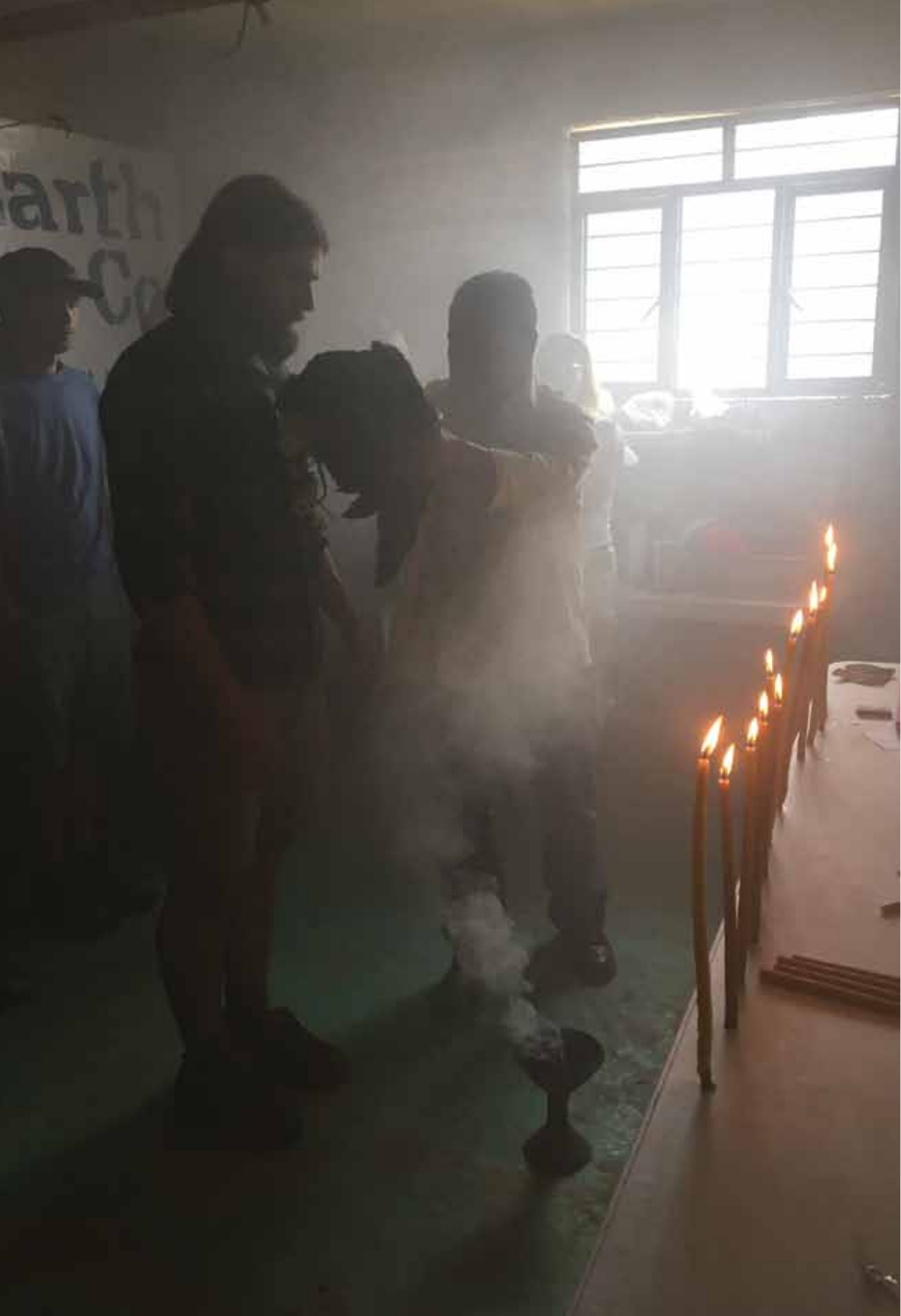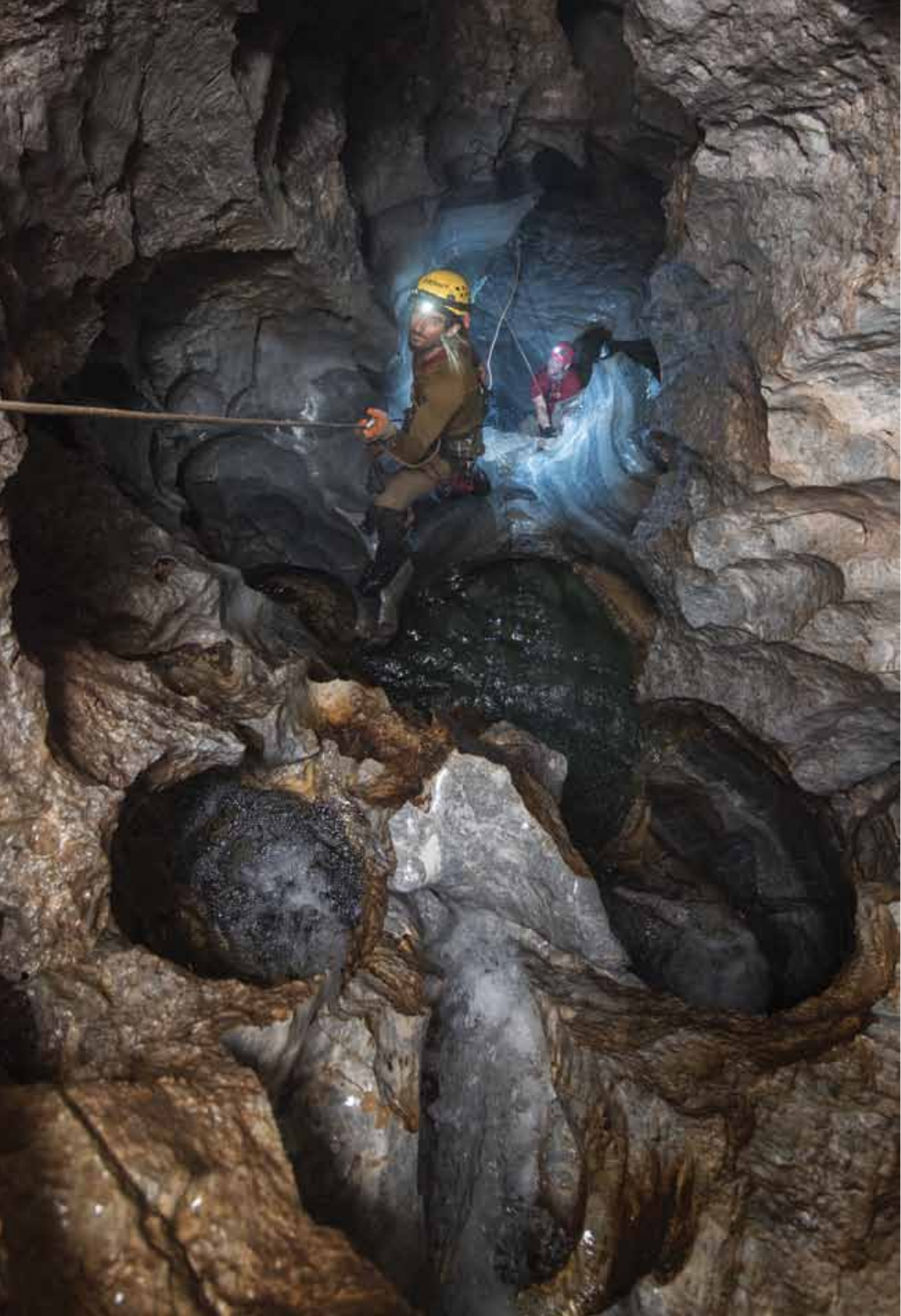